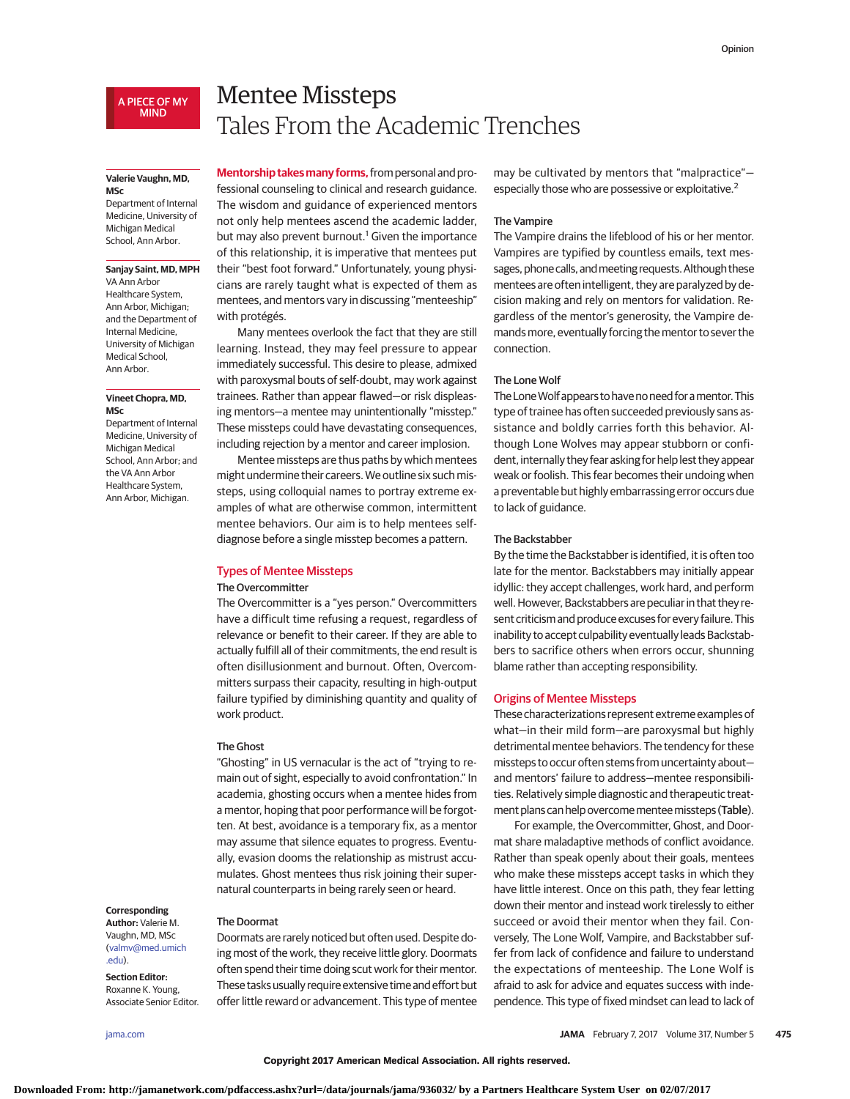#### A PIECE OF MY MIND

## Mentee Missteps Tales From the Academic Trenches

#### **Valerie Vaughn, MD, MSc**

Department of Internal Medicine, University of Michigan Medical School, Ann Arbor.

#### **Sanjay Saint, MD, MPH**

VA Ann Arbor Healthcare System, Ann Arbor, Michigan; and the Department of Internal Medicine, University of Michigan Medical School, Ann Arbor.

#### **Vineet Chopra, MD, MSc**

Department of Internal Medicine, University of Michigan Medical School, Ann Arbor; and the VA Ann Arbor Healthcare System, Ann Arbor, Michigan.

## **Mentorship takesmany forms,**from personal and professional counseling to clinical and research guidance. The wisdom and guidance of experienced mentors not only help mentees ascend the academic ladder, but may also prevent burnout.<sup>1</sup> Given the importance of this relationship, it is imperative that mentees put their "best foot forward." Unfortunately, young physicians are rarely taught what is expected of them as mentees, and mentors vary in discussing "menteeship"

Many mentees overlook the fact that they are still learning. Instead, they may feel pressure to appear immediately successful. This desire to please, admixed with paroxysmal bouts of self-doubt, may work against trainees. Rather than appear flawed—or risk displeasing mentors—a mentee may unintentionally "misstep." These missteps could have devastating consequences, including rejection by a mentor and career implosion.

Mentee missteps are thus paths by which mentees might undermine their careers.We outline six such missteps, using colloquial names to portray extreme examples of what are otherwise common, intermittent mentee behaviors. Our aim is to help mentees selfdiagnose before a single misstep becomes a pattern.

## Types of Mentee Missteps

## The Overcommitter

with protégés.

The Overcommitter is a "yes person." Overcommitters have a difficult time refusing a request, regardless of relevance or benefit to their career. If they are able to actually fulfill all of their commitments, the end result is often disillusionment and burnout. Often, Overcommitters surpass their capacity, resulting in high-output failure typified by diminishing quantity and quality of work product.

#### The Ghost

"Ghosting" in US vernacular is the act of "trying to remain out of sight, especially to avoid confrontation." In academia, ghosting occurs when a mentee hides from a mentor, hoping that poor performance will be forgotten. At best, avoidance is a temporary fix, as a mentor may assume that silence equates to progress. Eventually, evasion dooms the relationship as mistrust accumulates. Ghost mentees thus risk joining their supernatural counterparts in being rarely seen or heard.

#### **Corresponding Author:** Valerie M.

Vaughn, MD, MSc [\(valmv@med.umich](mailto:valmv@med.umich.edu) [.edu\)](mailto:valmv@med.umich.edu).

**Section Editor:** Roxanne K. Young, Associate Senior Editor.

Doormats are rarely noticed but often used. Despite doing most of the work, they receive little glory. Doormats often spend their time doing scut work for their mentor. These tasks usually require extensive time and effort but

offer little reward or advancement. This type of mentee

may be cultivated by mentors that "malpractice" especially those who are possessive or exploitative.<sup>2</sup>

#### The Vampire

The Vampire drains the lifeblood of his or her mentor. Vampires are typified by countless emails, text messages, phone calls, and meeting requests. Although these mentees are often intelligent, they are paralyzed by decision making and rely on mentors for validation. Regardless of the mentor's generosity, the Vampire demands more, eventually forcing the mentor to sever the connection.

#### The Lone Wolf

The Lone Wolf appears to have no need for a mentor. This type of trainee has often succeeded previously sans assistance and boldly carries forth this behavior. Although Lone Wolves may appear stubborn or confident, internally they fear asking for help lest they appear weak or foolish. This fear becomes their undoing when a preventable but highly embarrassing error occurs due to lack of guidance.

#### The Backstabber

By the time the Backstabber is identified, it is often too late for the mentor. Backstabbers may initially appear idyllic: they accept challenges, work hard, and perform well. However, Backstabbers are peculiar in that they resent criticism and produce excuses for every failure. This inability to accept culpability eventually leads Backstabbers to sacrifice others when errors occur, shunning blame rather than accepting responsibility.

#### Origins of Mentee Missteps

These characterizations represent extreme examples of what—in their mild form—are paroxysmal but highly detrimental mentee behaviors. The tendency for these missteps to occur often stems from uncertainty about and mentors' failure to address—mentee responsibilities. Relatively simple diagnostic and therapeutic treatment plans can help overcome mentee missteps (Table).

For example, the Overcommitter, Ghost, and Doormat share maladaptive methods of conflict avoidance. Rather than speak openly about their goals, mentees who make these missteps accept tasks in which they have little interest. Once on this path, they fear letting down their mentor and instead work tirelessly to either succeed or avoid their mentor when they fail. Conversely, The Lone Wolf, Vampire, and Backstabber suffer from lack of confidence and failure to understand the expectations of menteeship. The Lone Wolf is afraid to ask for advice and equates success with independence. This type of fixed mindset can lead to lack of

# The Doormat